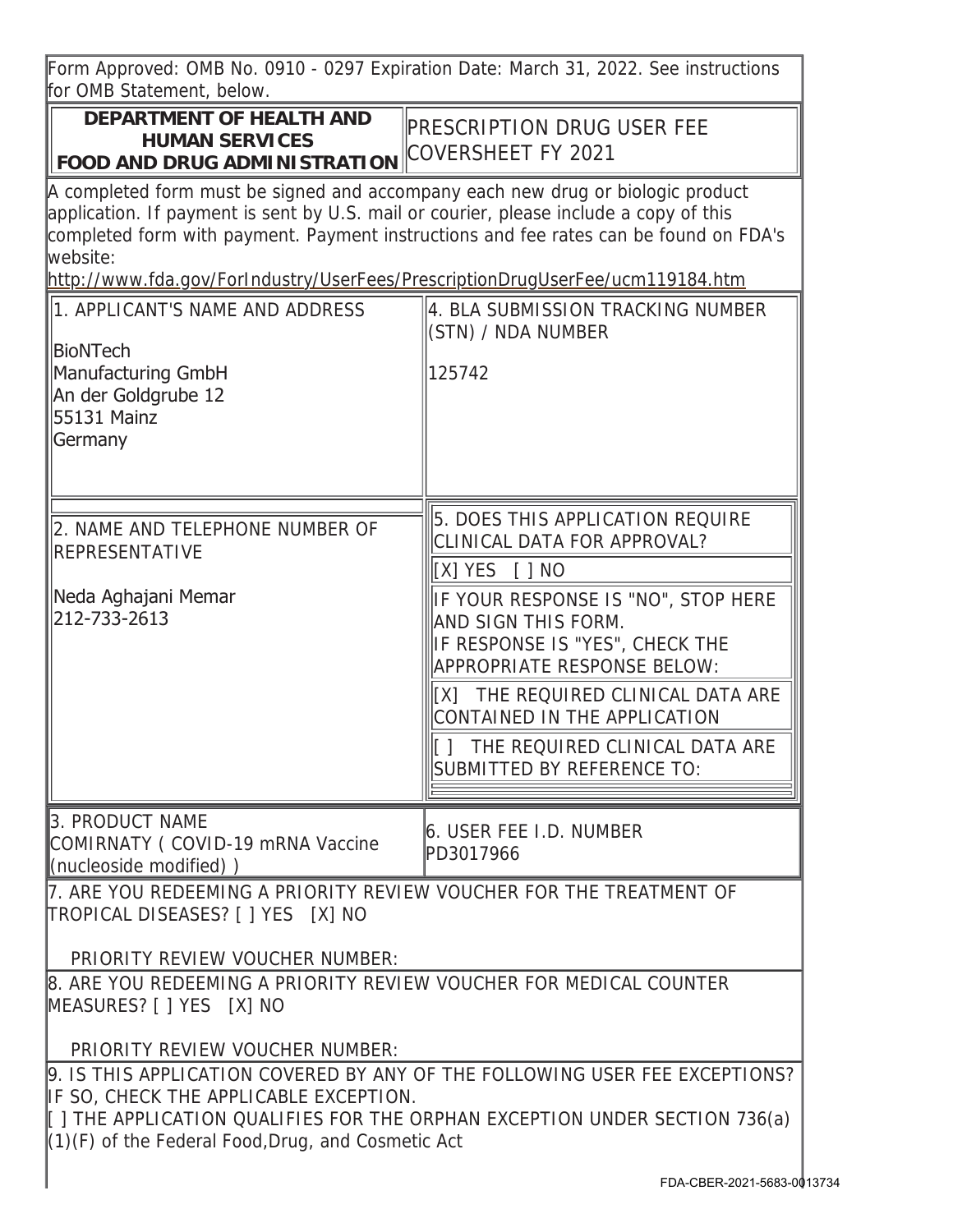Form Approved: OMB No. 0910 - 0297 Expiration Date: March 31, 2022. See instructions for OMB Statement, below.

## **DEPARTMENT OF HEALTH AND HUMAN SERVICES FOOD AND DRUG ADMINISTRATION** COVERSHEET FY 2021

PRESCRIPTION DRUG USER FEE

A completed form must be signed and accompany each new drug or biologic product application. If payment is sent by U.S. mail or courier, please include a copy of this completed form with payment. Payment instructions and fee rates can be found on FDA's website:

http://www.fda.gov/ForIndustry/UserFees/PrescriptionDrugUserFee/ucm119184.htm

| 1. APPLICANT'S NAME AND ADDRESS<br><b>BioNTech</b><br>Manufacturing GmbH<br>An der Goldgrube 12<br>55131 Mainz<br>Germany                                                                                                                                  | 4. BLA SUBMISSION TRACKING NUMBER<br>(STN) / NDA NUMBER<br>125742                                                                                                                                                                                                                                                                                                 |  |
|------------------------------------------------------------------------------------------------------------------------------------------------------------------------------------------------------------------------------------------------------------|-------------------------------------------------------------------------------------------------------------------------------------------------------------------------------------------------------------------------------------------------------------------------------------------------------------------------------------------------------------------|--|
| 2. NAME AND TELEPHONE NUMBER OF<br><b>REPRESENTATIVE</b><br>Neda Aghajani Memar<br>212-733-2613                                                                                                                                                            | 5. DOES THIS APPLICATION REQUIRE<br>CLINICAL DATA FOR APPROVAL?<br>[X] YES [ ] NO<br>IF YOUR RESPONSE IS "NO", STOP HERE<br>AND SIGN THIS FORM.<br>IF RESPONSE IS "YES", CHECK THE<br>APPROPRIATE RESPONSE BELOW:<br>[X] THE REQUIRED CLINICAL DATA ARE<br>CONTAINED IN THE APPLICATION<br>[] THE REQUIRED CLINICAL DATA ARE<br><b>SUBMITTED BY REFERENCE TO:</b> |  |
| 3. PRODUCT NAME<br>COMIRNATY (COVID-19 mRNA Vaccine<br>(nucleoside modified))                                                                                                                                                                              | 6. USER FEE I.D. NUMBER<br>PD3017966                                                                                                                                                                                                                                                                                                                              |  |
| 7. ARE YOU REDEEMING A PRIORITY REVIEW VOUCHER FOR THE TREATMENT OF<br>TROPICAL DISEASES? [ ] YES [X] NO<br>PRIORITY REVIEW VOUCHER NUMBER:                                                                                                                |                                                                                                                                                                                                                                                                                                                                                                   |  |
| 8. ARE YOU REDEEMING A PRIORITY REVIEW VOUCHER FOR MEDICAL COUNTER<br>MEASURES? [ ] YES [X] NO<br>PRIORITY REVIEW VOUCHER NUMBER:                                                                                                                          |                                                                                                                                                                                                                                                                                                                                                                   |  |
| 9. IS THIS APPLICATION COVERED BY ANY OF THE FOLLOWING USER FEE EXCEPTIONS?<br>IF SO, CHECK THE APPLICABLE EXCEPTION.<br>[ ] THE APPLICATION QUALIFIES FOR THE ORPHAN EXCEPTION UNDER SECTION 736(a)<br>(1)(F) of the Federal Food, Drug, and Cosmetic Act |                                                                                                                                                                                                                                                                                                                                                                   |  |